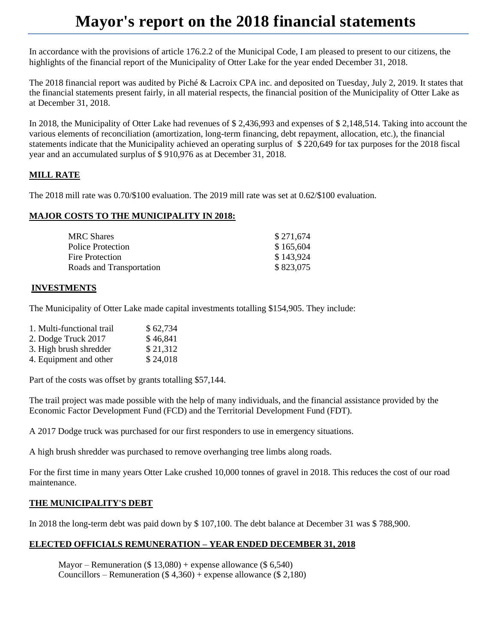# **Mayor's report on the 2018 financial statements**

In accordance with the provisions of article 176.2.2 of the Municipal Code, I am pleased to present to our citizens, the highlights of the financial report of the Municipality of Otter Lake for the year ended December 31, 2018.

The 2018 financial report was audited by Piché & Lacroix CPA inc. and deposited on Tuesday, July 2, 2019. It states that the financial statements present fairly, in all material respects, the financial position of the Municipality of Otter Lake as at December 31, 2018.

In 2018, the Municipality of Otter Lake had revenues of \$ 2,436,993 and expenses of \$ 2,148,514. Taking into account the various elements of reconciliation (amortization, long-term financing, debt repayment, allocation, etc.), the financial statements indicate that the Municipality achieved an operating surplus of \$ 220,649 for tax purposes for the 2018 fiscal year and an accumulated surplus of \$ 910,976 as at December 31, 2018.

# **MILL RATE**

The 2018 mill rate was 0.70/\$100 evaluation. The 2019 mill rate was set at 0.62/\$100 evaluation.

### **MAJOR COSTS TO THE MUNICIPALITY IN 2018:**

| MRC Shares               | \$271,674 |
|--------------------------|-----------|
| Police Protection        | \$165,604 |
| Fire Protection          | \$143,924 |
| Roads and Transportation | \$823,075 |

### **INVESTMENTS**

The Municipality of Otter Lake made capital investments totalling \$154,905. They include:

| 1. Multi-functional trail | \$62,734 |
|---------------------------|----------|
| 2. Dodge Truck 2017       | \$46,841 |
| 3. High brush shredder    | \$21,312 |
| 4. Equipment and other    | \$24,018 |

Part of the costs was offset by grants totalling \$57,144.

The trail project was made possible with the help of many individuals, and the financial assistance provided by the Economic Factor Development Fund (FCD) and the Territorial Development Fund (FDT).

A 2017 Dodge truck was purchased for our first responders to use in emergency situations.

A high brush shredder was purchased to remove overhanging tree limbs along roads.

For the first time in many years Otter Lake crushed 10,000 tonnes of gravel in 2018. This reduces the cost of our road maintenance.

#### **THE MUNICIPALITY'S DEBT**

In 2018 the long-term debt was paid down by \$ 107,100. The debt balance at December 31 was \$ 788,900.

# **ELECTED OFFICIALS REMUNERATION – YEAR ENDED DECEMBER 31, 2018**

Mayor – Remuneration  $(\$ 13,080)$  + expense allowance  $(\$ 6,540)$ Councillors – Remuneration  $(\$ 4,360) +$  expense allowance  $(\$ 2,180)$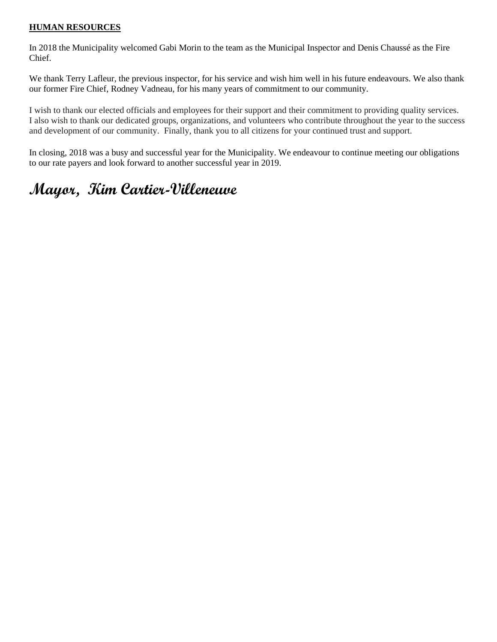### **HUMAN RESOURCES**

In 2018 the Municipality welcomed Gabi Morin to the team as the Municipal Inspector and Denis Chaussé as the Fire Chief.

We thank Terry Lafleur, the previous inspector, for his service and wish him well in his future endeavours. We also thank our former Fire Chief, Rodney Vadneau, for his many years of commitment to our community.

I wish to thank our elected officials and employees for their support and their commitment to providing quality services. I also wish to thank our dedicated groups, organizations, and volunteers who contribute throughout the year to the success and development of our community. Finally, thank you to all citizens for your continued trust and support.

In closing, 2018 was a busy and successful year for the Municipality. We endeavour to continue meeting our obligations to our rate payers and look forward to another successful year in 2019.

# **Mayor, Kim Cartier-Villeneuve**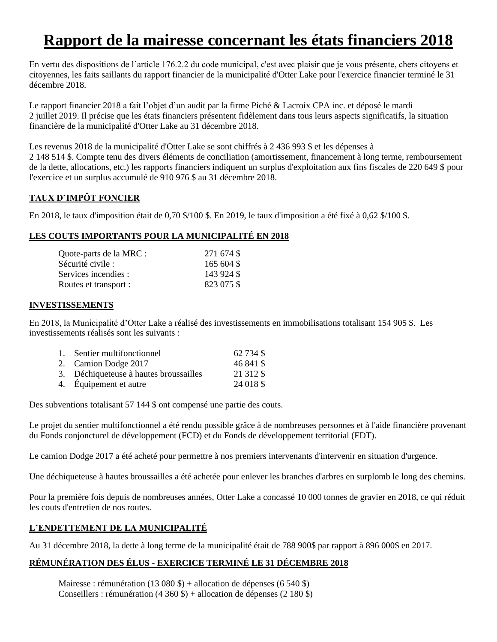# **Rapport de la mairesse concernant les états financiers 2018**

En vertu des dispositions de l'article 176.2.2 du code municipal, c'est avec plaisir que je vous présente, chers citoyens et citoyennes, les faits saillants du rapport financier de la municipalité d'Otter Lake pour l'exercice financier terminé le 31 décembre 2018.

Le rapport financier 2018 a fait l'objet d'un audit par la firme Piché & Lacroix CPA inc. et déposé le mardi 2 juillet 2019. Il précise que les états financiers présentent fidèlement dans tous leurs aspects significatifs, la situation financière de la municipalité d'Otter Lake au 31 décembre 2018.

Les revenus 2018 de la municipalité d'Otter Lake se sont chiffrés à 2 436 993 \$ et les dépenses à 2 148 514 \$. Compte tenu des divers éléments de conciliation (amortissement, financement à long terme, remboursement de la dette, allocations, etc.) les rapports financiers indiquent un surplus d'exploitation aux fins fiscales de 220 649 \$ pour l'exercice et un surplus accumulé de 910 976 \$ au 31 décembre 2018.

# **TAUX D'IMPÔT FONCIER**

En 2018, le taux d'imposition était de 0,70 \$/100 \$. En 2019, le taux d'imposition a été fixé à 0,62 \$/100 \$.

# **LES COUTS IMPORTANTS POUR LA MUNICIPALITÉ EN 2018**

| 271 674 \$ |
|------------|
| 165 604 \$ |
| 143 924 \$ |
| 823 075 \$ |
|            |

### **INVESTISSEMENTS**

En 2018, la Municipalité d'Otter Lake a réalisé des investissements en immobilisations totalisant 154 905 \$. Les investissements réalisés sont les suivants :

| 1. Sentier multifonctionnel            | 62 734 \$  |
|----------------------------------------|------------|
| 2. Camion Dodge 2017                   | 46 841 \$  |
| 3. Déchiqueteuse à hautes broussailles | 21 31 2 \$ |
| 4. Équipement et autre                 | 24 018 \$  |
|                                        |            |

Des subventions totalisant 57 144 \$ ont compensé une partie des couts.

Le projet du sentier multifonctionnel a été rendu possible grâce à de nombreuses personnes et à l'aide financière provenant du Fonds conjoncturel de développement (FCD) et du Fonds de développement territorial (FDT).

Le camion Dodge 2017 a été acheté pour permettre à nos premiers intervenants d'intervenir en situation d'urgence.

Une déchiqueteuse à hautes broussailles a été achetée pour enlever les branches d'arbres en surplomb le long des chemins.

Pour la première fois depuis de nombreuses années, Otter Lake a concassé 10 000 tonnes de gravier en 2018, ce qui réduit les couts d'entretien de nos routes.

# **L'ENDETTEMENT DE LA MUNICIPALITÉ**

Au 31 décembre 2018, la dette à long terme de la municipalité était de 788 900\$ par rapport à 896 000\$ en 2017.

# **RÉMUNÉRATION DES ÉLUS - EXERCICE TERMINÉ LE 31 DÉCEMBRE 2018**

Mairesse : rémunération (13 080 \$) + allocation de dépenses (6 540 \$) Conseillers : rémunération (4 360 \$) + allocation de dépenses (2 180 \$)